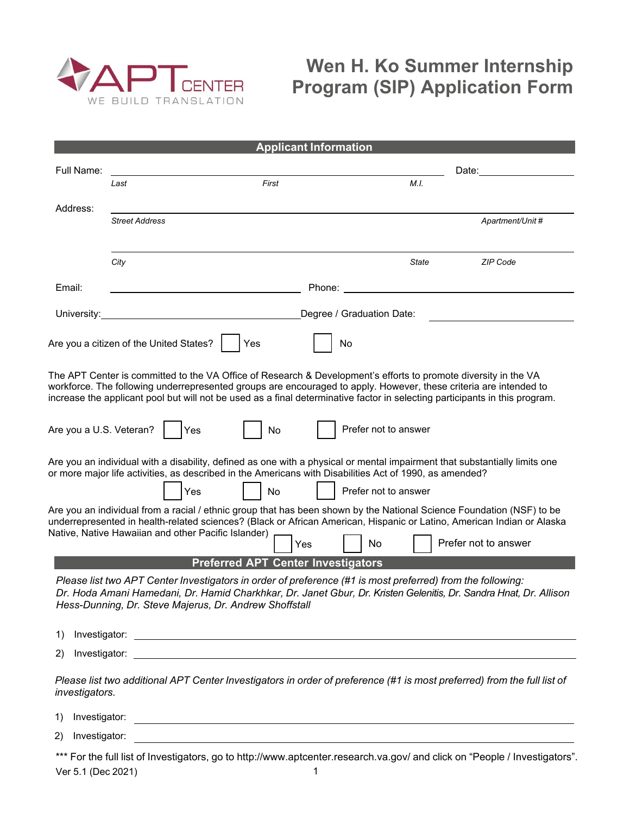

## **Wen H. Ko Summer Internship Program (SIP) Application Form**

|                                           |                                                                                                                                                                      | <b>Applicant Information</b>                                                                                          |                           |                                                                                                                                                                                                                                                                                                                                                                     |  |
|-------------------------------------------|----------------------------------------------------------------------------------------------------------------------------------------------------------------------|-----------------------------------------------------------------------------------------------------------------------|---------------------------|---------------------------------------------------------------------------------------------------------------------------------------------------------------------------------------------------------------------------------------------------------------------------------------------------------------------------------------------------------------------|--|
| Full Name:                                |                                                                                                                                                                      |                                                                                                                       | Date:                     |                                                                                                                                                                                                                                                                                                                                                                     |  |
|                                           | Last                                                                                                                                                                 | First                                                                                                                 | M.I.                      |                                                                                                                                                                                                                                                                                                                                                                     |  |
| Address:                                  |                                                                                                                                                                      |                                                                                                                       |                           |                                                                                                                                                                                                                                                                                                                                                                     |  |
|                                           | <b>Street Address</b>                                                                                                                                                |                                                                                                                       |                           | Apartment/Unit #                                                                                                                                                                                                                                                                                                                                                    |  |
|                                           |                                                                                                                                                                      |                                                                                                                       |                           |                                                                                                                                                                                                                                                                                                                                                                     |  |
|                                           | City                                                                                                                                                                 |                                                                                                                       | <b>State</b>              | <b>ZIP Code</b>                                                                                                                                                                                                                                                                                                                                                     |  |
| Email:                                    |                                                                                                                                                                      | Phone:                                                                                                                |                           |                                                                                                                                                                                                                                                                                                                                                                     |  |
| University:                               |                                                                                                                                                                      |                                                                                                                       | Degree / Graduation Date: |                                                                                                                                                                                                                                                                                                                                                                     |  |
|                                           | Are you a citizen of the United States?                                                                                                                              | Yes                                                                                                                   | No                        |                                                                                                                                                                                                                                                                                                                                                                     |  |
|                                           |                                                                                                                                                                      |                                                                                                                       |                           | The APT Center is committed to the VA Office of Research & Development's efforts to promote diversity in the VA<br>workforce. The following underrepresented groups are encouraged to apply. However, these criteria are intended to<br>increase the applicant pool but will not be used as a final determinative factor in selecting participants in this program. |  |
| Are you a U.S. Veteran?                   | Yes                                                                                                                                                                  | No                                                                                                                    | Prefer not to answer      |                                                                                                                                                                                                                                                                                                                                                                     |  |
|                                           | or more major life activities, as described in the Americans with Disabilities Act of 1990, as amended?                                                              |                                                                                                                       |                           | Are you an individual with a disability, defined as one with a physical or mental impairment that substantially limits one                                                                                                                                                                                                                                          |  |
|                                           | Yes                                                                                                                                                                  | No                                                                                                                    | Prefer not to answer      |                                                                                                                                                                                                                                                                                                                                                                     |  |
|                                           |                                                                                                                                                                      |                                                                                                                       |                           | Are you an individual from a racial / ethnic group that has been shown by the National Science Foundation (NSF) to be<br>underrepresented in health-related sciences? (Black or African American, Hispanic or Latino, American Indian or Alaska                                                                                                                     |  |
|                                           | Native, Native Hawaiian and other Pacific Islander)                                                                                                                  | Yes                                                                                                                   | No                        | Prefer not to answer                                                                                                                                                                                                                                                                                                                                                |  |
| <b>Preferred APT Center Investigators</b> |                                                                                                                                                                      |                                                                                                                       |                           |                                                                                                                                                                                                                                                                                                                                                                     |  |
|                                           | Please list two APT Center Investigators in order of preference (#1 is most preferred) from the following:<br>Hess-Dunning, Dr. Steve Majerus, Dr. Andrew Shoffstall |                                                                                                                       |                           | Dr. Hoda Amani Hamedani, Dr. Hamid Charkhkar, Dr. Janet Gbur, Dr. Kristen Gelenitis, Dr. Sandra Hnat, Dr. Allison                                                                                                                                                                                                                                                   |  |
| 1)                                        |                                                                                                                                                                      |                                                                                                                       |                           |                                                                                                                                                                                                                                                                                                                                                                     |  |
| 2)                                        |                                                                                                                                                                      |                                                                                                                       |                           |                                                                                                                                                                                                                                                                                                                                                                     |  |
| investigators.                            |                                                                                                                                                                      |                                                                                                                       |                           | Please list two additional APT Center Investigators in order of preference (#1 is most preferred) from the full list of                                                                                                                                                                                                                                             |  |
| Investigator:<br>1)                       |                                                                                                                                                                      | <u> 1989 - Johann Stein, mars an deutscher Stein († 1989)</u>                                                         |                           |                                                                                                                                                                                                                                                                                                                                                                     |  |
| Investigator:<br>(2)                      |                                                                                                                                                                      | <u> 1989 - John Stoff, deutscher Stoff, der Stoff, der Stoff, der Stoff, der Stoff, der Stoff, der Stoff, der Sto</u> |                           |                                                                                                                                                                                                                                                                                                                                                                     |  |

\*\*\* For the full list of Investigators, go to <http://www.aptcenter.research.va.gov/> and click on "People / Investigators". Ver 5.1 (Dec 2021) 1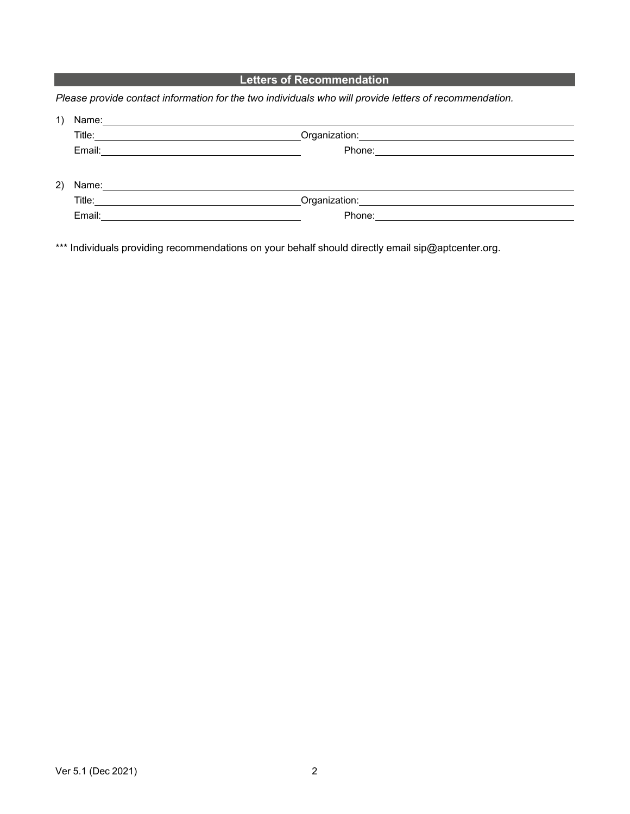## **Letters of Recommendation**

*Please provide contact information for the two individuals who will provide letters of recommendation.*

| Name: Name: when the contract of the contract of the contract of the contract of the contract of the contract of the contract of the contract of the contract of the contract of the contract of the contract of the contract |                                                                                                                                                                                                                                |
|-------------------------------------------------------------------------------------------------------------------------------------------------------------------------------------------------------------------------------|--------------------------------------------------------------------------------------------------------------------------------------------------------------------------------------------------------------------------------|
|                                                                                                                                                                                                                               | Organization: www.astronomy.com/                                                                                                                                                                                               |
|                                                                                                                                                                                                                               |                                                                                                                                                                                                                                |
|                                                                                                                                                                                                                               |                                                                                                                                                                                                                                |
| Name: 2008 2010 2020 2020 2020 2021 2021 2022 2022 2021 2022 2022 2022 2022 2022 2021 2022 2022 2022 2022 2022                                                                                                                |                                                                                                                                                                                                                                |
| Title:                                                                                                                                                                                                                        | Organization: University of the Control                                                                                                                                                                                        |
| Email:<br><u> 1989 - John Stein, Amerikaansk politiker (</u>                                                                                                                                                                  | Phone: The contract of the contract of the contract of the contract of the contract of the contract of the contract of the contract of the contract of the contract of the contract of the contract of the contract of the con |
|                                                                                                                                                                                                                               |                                                                                                                                                                                                                                |

\*\*\* Individuals providing recommendations on your behalf should directly email [sip@aptcenter.org.](mailto:sip@aptcenter.org)